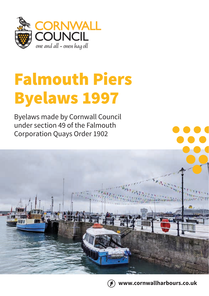

## Falmouth Piers Byelaws 1997

Byelaws made by Cornwall Council under section 49 of the Falmouth Corporation Quays Order 1902





**www.cornwallharbours.co.uk**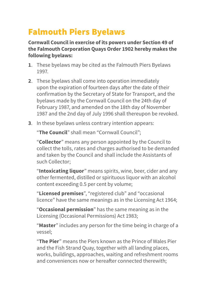## Falmouth Piers Byelaws

**Cornwall Council in exercise of its powers under Section 49 of the Falmouth Corporation Quays Order 1902 hereby makes the following byelaws:**

- **1**. These byelaws may be cited as the Falmouth Piers Byelaws 1997.
- **2**. These byelaws shall come into operation immediately upon the expiration of fourteen days after the date of their confirmation by the Secretary of State for Transport, and the byelaws made by the Cornwall Council on the 24th day of February 1987, and amended on the 18th day of November 1987 and the 2nd day of July 1996 shall thereupon be revoked.
- **3**. In these byelaws unless contrary intention appears:

"**The Council**" shall mean "Cornwall Council";

"**Collector**" means any person appointed by the Council to collect the tolls, rates and charges authorised to be demanded and taken by the Council and shall include the Assistants of such Collector;

"**Intoxicating liquor**" means spirits, wine, beer, cider and any other fermented, distilled or spirituous liquor with an alcohol content exceeding 0.5 per cent by volume;

"**Licensed premises**", "registered club" and "occasional licence" have the same meanings as in the Licensing Act 1964;

"**Occasional permission**" has the same meaning as in the Licensing (Occasional Permissions) Act 1983;

"**Master**" includes any person for the time being in charge of a vessel;

"**The Pier**" means the Piers known as the Prince of Wales Pier and the Fish Strand Quay, together with all landing places, works, buildings, approaches, waiting and refreshment rooms and conveniences now or hereafter connected therewith;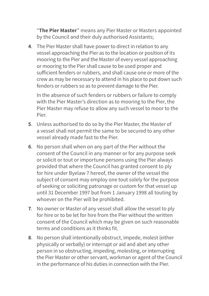"**The Pier Master**" means any Pier Master or Masters appointed by the Council and their duly authorised Assistants;

**4**. The Pier Master shall have power to direct in relation to any vessel approaching the Pier as to the location or position of its mooring to the Pier and the Master of every vessel approaching or mooring to the Pier shall cause to be used proper and sufficient fenders or rubbers, and shall cause one or more of the crew as may be necessary to attend in his place to put down such fenders or rubbers so as to prevent damage to the Pier.

In the absence of such fenders or rubbers or failure to comply with the Pier Master's direction as to mooring to the Pier, the Pier Master may refuse to allow any such vessel to moor to the Pier.

- **5**. Unless authorised to do so by the Pier Master, the Master of a vessel shall not permit the same to be secured to any other vessel already made fast to the Pier.
- **6**. No person shall when on any part of the Pier without the consent of the Council in any manner or for any purpose seek or solicit or tout or importune persons using the Pier always provided that where the Council has granted consent to ply for hire under Byelaw 7 hereof, the owner of the vessel the subject of consent may employ one tout solely for the purpose of seeking or soliciting patronage or custom for that vessel up until 31 December 1997 but from 1 January 1998 all touting by whoever on the Pier will be prohibited.
- **7**. No owner or Master of any vessel shall allow the vessel to ply for hire or to be let for hire from the Pier without the written consent of the Council which may be given on such reasonable terms and conditions as it thinks fit.
- **8**. No person shall intentionally obstruct, impede, molest (either physically or verbally) or interrupt or aid and abet any other person in so obstructing, impeding, molesting, or interrupting the Pier Master or other servant, workman or agent of the Council in the performance of his duties in connection with the Pier.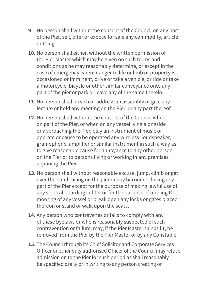- **9**. No person shall without the consent of the Council on any part of the Pier, sell, offer or expose for sale any commodity, article or thing.
- **10**. No person shall either, without the written permission of the Pier Master which may be given on such terms and conditions as he may reasonably determine, or except in the case of emergency where danger to life or limb or property is occasioned or imminent, drive or take a vehicle, or ride or take a motorcycle, bicycle or other similar conveyance onto any part of the pier or park or leave any of the same therein.
- **11**. No person shall preach or address an assembly or give any lecture or hold any meeting on the Pier, or any part thereof.
- **12**. No person shall without the consent of the Council when on part of the Pier, or when on any vessel lying alongside or approaching the Pier, play an instrument of music or operate or cause to be operated any wireless, loudspeaker, gramophone, amplifier or similar instrument in such a way as to give reasonable cause for annoyance to any other person on the Pier or to persons living or working in any premises adjoining the Pier.
- **13**. No person shall without reasonable excuse, jump, climb or get over the hand railing on the pier or any barrier enclosing any part of the Pier except for the purpose of making lawful use of any vertical boarding ladder or for the purpose of tending the mooring of any vessel or break open any locks or gates placed thereon or stand or walk upon the seats.
- **14**. Any person who contravenes or fails to comply with any of these byelaws or who is reasonably suspected of such contravention or failure, may, if the Pier Master thinks fit, be removed from the Pier by the Pier Master or by any Constable.
- **15**. The Council through its Chief Solicitor and Corporate Services Officer or other duly authorised Officer of the Council may refuse admission on to the Pier for such period as shall reasonably be specified orally or in writing to any person creating or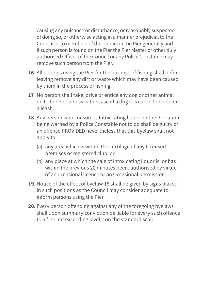causing any nuisance or disturbance, or reasonably suspected of doing so, or otherwise acting in a manner prejudicial to the Council or to members of the public on the Pier generally and if such person is found on the Pier the Pier Master or other duly authorised Officer of the Council or any Police Constable may remove such person from the Pier.

- **16**. All persons using the Pier for the purpose of fishing shall before leaving remove any dirt or waste which may have been caused by them in the process of fishing.
- **17**. No person shall take, drive or entice any dog or other animal on to the Pier unless in the case of a dog it is carried or held on a leash.
- **18**. Any person who consumes Intoxicating liquor on the Pier upon being warned by a Police Constable not to do shall be guilty of an offence PROVIDED nevertheless that this byelaw shall not apply to:
	- (a) any area which is within the curtilage of any Licensed premises or registered club; or
	- (b) any place at which the sale of Intoxicating liquor is, or has within the previous 20 minutes been, authorised by virtue of an occasional licence or an Occasional permission.
- **19**. Notice of the effect of byelaw 18 shall be given by signs placed in such positions as the Council may consider adequate to inform persons using the Pier.
- **20**. Every person offending against any of the foregoing byelaws shall upon summary conviction be liable for every such offence to a fine not exceeding level 2 on the standard scale.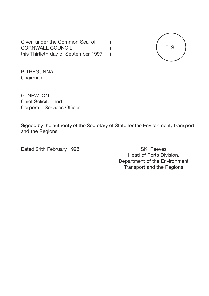Given under the Common Seal of (a) CORNWALL COUNCIL (1) this Thirtieth day of September 1997



P. TREGUNNA Chairman

G. NEWTON Chief Solicitor and Corporate Services Officer

Signed by the authority of the Secretary of State for the Environment, Transport and the Regions.

Dated 24th February 1998 SK. Reeves

Head of Ports Division, Department of the Environment Transport and the Regions